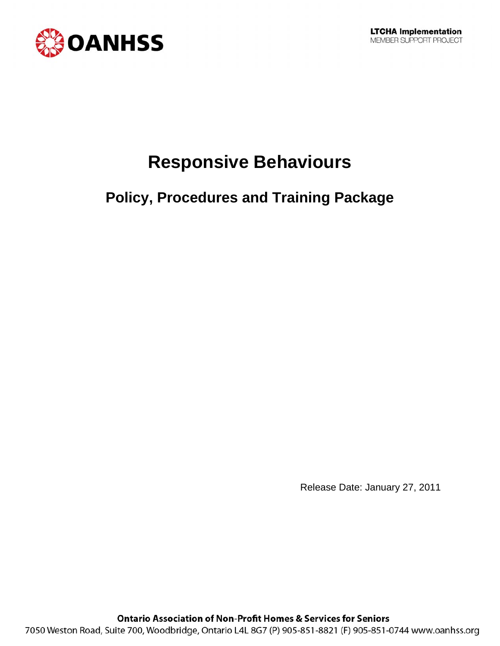

# **Responsive Behaviours**

# **Policy, Procedures and Training Package**

Release Date: January 27, 2011

**Ontario Association of Non-Profit Homes & Services for Seniors** 7050 Weston Road, Suite 700, Woodbridge, Ontario L4L 8G7 (P) 905-851-8821 (F) 905-851-0744 www.oanhss.org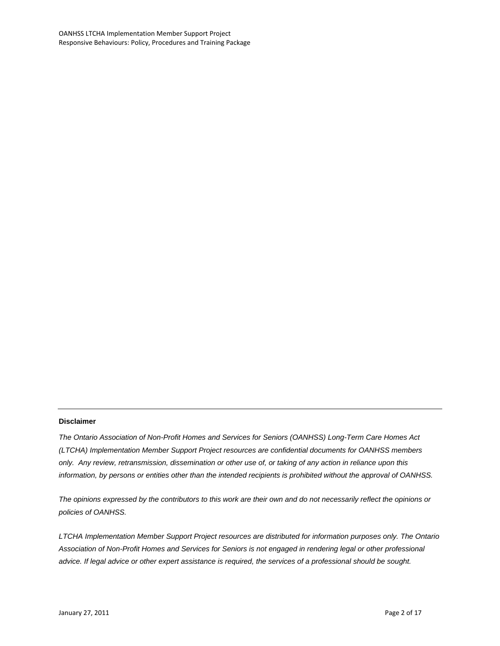#### **Disclaimer**

*The Ontario Association of Non-Profit Homes and Services for Seniors (OANHSS) Long-Term Care Homes Act (LTCHA) Implementation Member Support Project resources are confidential documents for OANHSS members only. Any review, retransmission, dissemination or other use of, or taking of any action in reliance upon this information, by persons or entities other than the intended recipients is prohibited without the approval of OANHSS.*

*The opinions expressed by the contributors to this work are their own and do not necessarily reflect the opinions or policies of OANHSS.*

*LTCHA Implementation Member Support Project resources are distributed for information purposes only. The Ontario Association of Non-Profit Homes and Services for Seniors is not engaged in rendering legal or other professional advice. If legal advice or other expert assistance is required, the services of a professional should be sought.*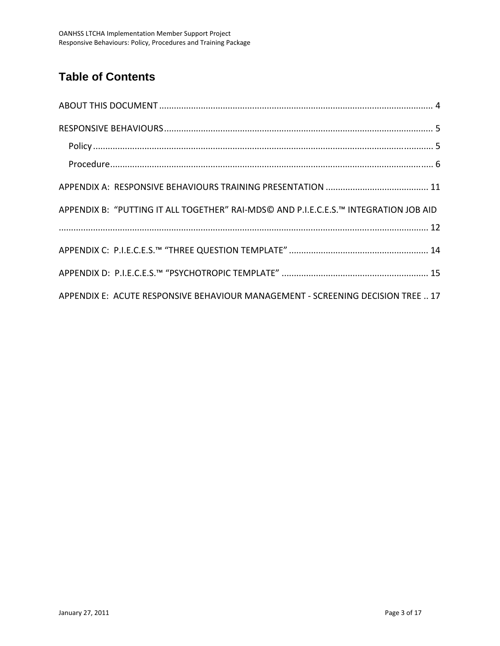### **Table of Contents**

| APPENDIX B: "PUTTING IT ALL TOGETHER" RAI-MDS© AND P.I.E.C.E.S.™ INTEGRATION JOB AID |
|--------------------------------------------------------------------------------------|
|                                                                                      |
|                                                                                      |
|                                                                                      |
| APPENDIX E: ACUTE RESPONSIVE BEHAVIOUR MANAGEMENT - SCREENING DECISION TREE  17      |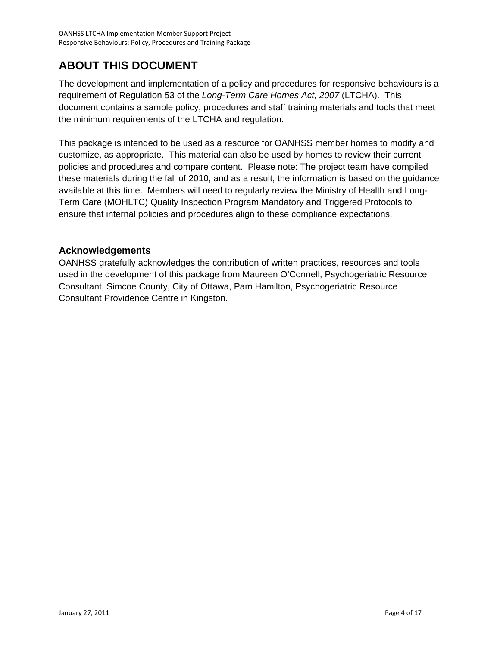### <span id="page-3-0"></span>**ABOUT THIS DOCUMENT**

The development and implementation of a policy and procedures for responsive behaviours is a requirement of Regulation 53 of the *Long-Term Care Homes Act, 2007* (LTCHA). This document contains a sample policy, procedures and staff training materials and tools that meet the minimum requirements of the LTCHA and regulation.

This package is intended to be used as a resource for OANHSS member homes to modify and customize, as appropriate. This material can also be used by homes to review their current policies and procedures and compare content. Please note: The project team have compiled these materials during the fall of 2010, and as a result, the information is based on the guidance available at this time. Members will need to regularly review the Ministry of Health and Long-Term Care (MOHLTC) Quality Inspection Program Mandatory and Triggered Protocols to ensure that internal policies and procedures align to these compliance expectations.

#### **Acknowledgements**

OANHSS gratefully acknowledges the contribution of written practices, resources and tools used in the development of this package from Maureen O'Connell, Psychogeriatric Resource Consultant, Simcoe County, City of Ottawa, Pam Hamilton, Psychogeriatric Resource Consultant Providence Centre in Kingston.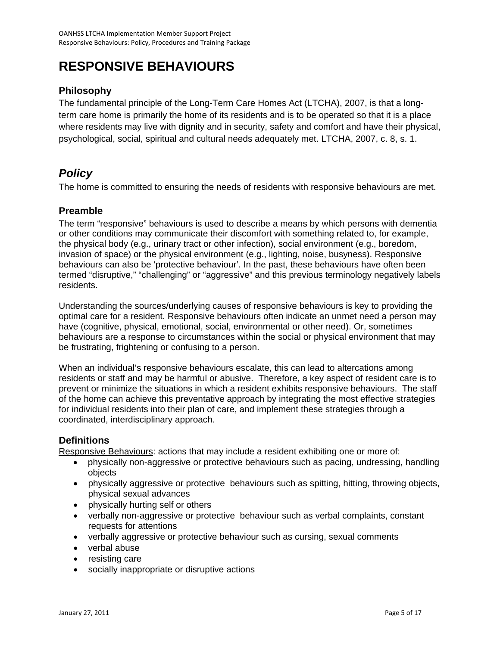# <span id="page-4-0"></span>**RESPONSIVE BEHAVIOURS**

#### **Philosophy**

The fundamental principle of the Long-Term Care Homes Act (LTCHA), 2007, is that a longterm care home is primarily the home of its residents and is to be operated so that it is a place where residents may live with dignity and in security, safety and comfort and have their physical, psychological, social, spiritual and cultural needs adequately met. LTCHA, 2007, c. 8, s. 1.

#### *Policy*

The home is committed to ensuring the needs of residents with responsive behaviours are met.

#### **Preamble**

The term "responsive" behaviours is used to describe a means by which persons with dementia or other conditions may communicate their discomfort with something related to, for example, the physical body (e.g., urinary tract or other infection), social environment (e.g., boredom, invasion of space) or the physical environment (e.g., lighting, noise, busyness). Responsive behaviours can also be 'protective behaviour'. In the past, these behaviours have often been termed "disruptive," "challenging" or "aggressive" and this previous terminology negatively labels residents.

Understanding the sources/underlying causes of responsive behaviours is key to providing the optimal care for a resident. Responsive behaviours often indicate an unmet need a person may have (cognitive, physical, emotional, social, environmental or other need). Or, sometimes behaviours are a response to circumstances within the social or physical environment that may be frustrating, frightening or confusing to a person.

When an individual's responsive behaviours escalate, this can lead to altercations among residents or staff and may be harmful or abusive. Therefore, a key aspect of resident care is to prevent or minimize the situations in which a resident exhibits responsive behaviours. The staff of the home can achieve this preventative approach by integrating the most effective strategies for individual residents into their plan of care, and implement these strategies through a coordinated, interdisciplinary approach.

#### **Definitions**

Responsive Behaviours: actions that may include a resident exhibiting one or more of:

- physically non-aggressive or protective behaviours such as pacing, undressing, handling objects
- physically aggressive or protective behaviours such as spitting, hitting, throwing objects, physical sexual advances
- physically hurting self or others
- verbally non-aggressive or protective behaviour such as verbal complaints, constant requests for attentions
- verbally aggressive or protective behaviour such as cursing, sexual comments
- verbal abuse
- resisting care
- socially inappropriate or disruptive actions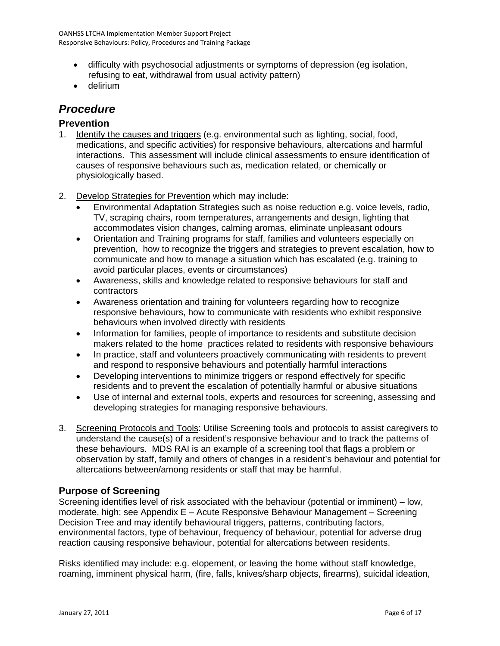- <span id="page-5-0"></span>• difficulty with psychosocial adjustments or symptoms of depression (eg isolation, refusing to eat, withdrawal from usual activity pattern)
- delirium

#### *Procedure*

#### **Prevention**

- 1. Identify the causes and triggers (e.g. environmental such as lighting, social, food, medications, and specific activities) for responsive behaviours, altercations and harmful interactions. This assessment will include clinical assessments to ensure identification of causes of responsive behaviours such as, medication related, or chemically or physiologically based.
- 2. Develop Strategies for Prevention which may include:
	- Environmental Adaptation Strategies such as noise reduction e.g. voice levels, radio, TV, scraping chairs, room temperatures, arrangements and design, lighting that accommodates vision changes, calming aromas, eliminate unpleasant odours
	- Orientation and Training programs for staff, families and volunteers especially on prevention, how to recognize the triggers and strategies to prevent escalation, how to communicate and how to manage a situation which has escalated (e.g. training to avoid particular places, events or circumstances)
	- Awareness, skills and knowledge related to responsive behaviours for staff and contractors
	- Awareness orientation and training for volunteers regarding how to recognize responsive behaviours, how to communicate with residents who exhibit responsive behaviours when involved directly with residents
	- Information for families, people of importance to residents and substitute decision makers related to the home practices related to residents with responsive behaviours
	- In practice, staff and volunteers proactively communicating with residents to prevent and respond to responsive behaviours and potentially harmful interactions
	- Developing interventions to minimize triggers or respond effectively for specific residents and to prevent the escalation of potentially harmful or abusive situations
	- Use of internal and external tools, experts and resources for screening, assessing and developing strategies for managing responsive behaviours.
- 3. Screening Protocols and Tools: Utilise Screening tools and protocols to assist caregivers to understand the cause(s) of a resident's responsive behaviour and to track the patterns of these behaviours. MDS RAI is an example of a screening tool that flags a problem or observation by staff, family and others of changes in a resident's behaviour and potential for altercations between/among residents or staff that may be harmful.

#### **Purpose of Screening**

Screening identifies level of risk associated with the behaviour (potential or imminent) – low, moderate, high; see Appendix E – Acute Responsive Behaviour Management – Screening Decision Tree and may identify behavioural triggers, patterns, contributing factors, environmental factors, type of behaviour, frequency of behaviour, potential for adverse drug reaction causing responsive behaviour, potential for altercations between residents.

Risks identified may include: e.g. elopement, or leaving the home without staff knowledge, roaming, imminent physical harm, (fire, falls, knives/sharp objects, firearms), suicidal ideation,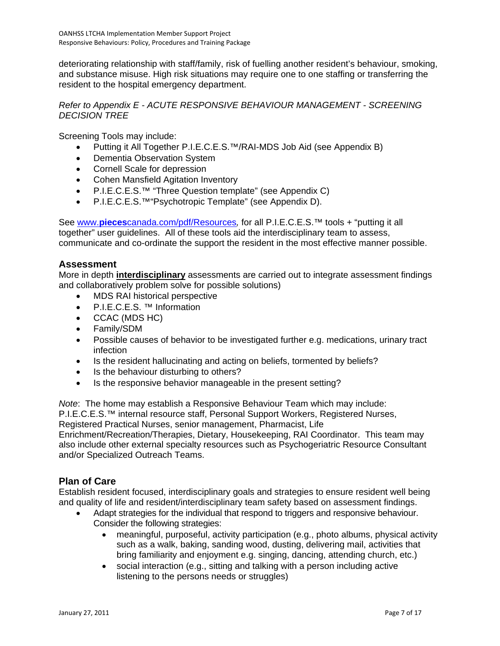deteriorating relationship with staff/family, risk of fuelling another resident's behaviour, smoking, and substance misuse. High risk situations may require one to one staffing or transferring the resident to the hospital emergency department.

#### *Refer to Appendix E - ACUTE RESPONSIVE BEHAVIOUR MANAGEMENT - SCREENING DECISION TREE*

Screening Tools may include:

- Putting it All Together P.I.E.C.E.S.™/RAI-MDS Job Aid (see Appendix B)
- Dementia Observation System
- Cornell Scale for depression
- Cohen Mansfield Agitation Inventory
- P.I.E.C.E.S.™ "Three Question template" (see Appendix C)
- P.I.E.C.E.S.™"Psychotropic Template" (see Appendix D).

See www.**pieces**[canada.com/pdf/Resources](http://www.piecescanada.com/pdf/Resources)*,* for all P.I.E.C.E.S.™ tools + "putting it all together" user guidelines. All of these tools aid the interdisciplinary team to assess, communicate and co-ordinate the support the resident in the most effective manner possible.

#### **Assessment**

More in depth **interdisciplinary** assessments are carried out to integrate assessment findings and collaboratively problem solve for possible solutions)

- MDS RAI historical perspective
- P.I.E.C.E.S. ™ Information
- CCAC (MDS HC)
- Family/SDM
- Possible causes of behavior to be investigated further e.g. medications, urinary tract infection
- Is the resident hallucinating and acting on beliefs, tormented by beliefs?
- Is the behaviour disturbing to others?
- Is the responsive behavior manageable in the present setting?

*Note*: The home may establish a Responsive Behaviour Team which may include: P.I.E.C.E.S.™ internal resource staff, Personal Support Workers, Registered Nurses, Registered Practical Nurses, senior management, Pharmacist, Life Enrichment/Recreation/Therapies, Dietary, Housekeeping, RAI Coordinator. This team may also include other external specialty resources such as Psychogeriatric Resource Consultant and/or Specialized Outreach Teams.

#### **Plan of Care**

Establish resident focused, interdisciplinary goals and strategies to ensure resident well being and quality of life and resident/interdisciplinary team safety based on assessment findings.

- Adapt strategies for the individual that respond to triggers and responsive behaviour. Consider the following strategies:
	- meaningful, purposeful, activity participation (e.g., photo albums, physical activity such as a walk, baking, sanding wood, dusting, delivering mail, activities that bring familiarity and enjoyment e.g. singing, dancing, attending church, etc.)
	- social interaction (e.g., sitting and talking with a person including active listening to the persons needs or struggles)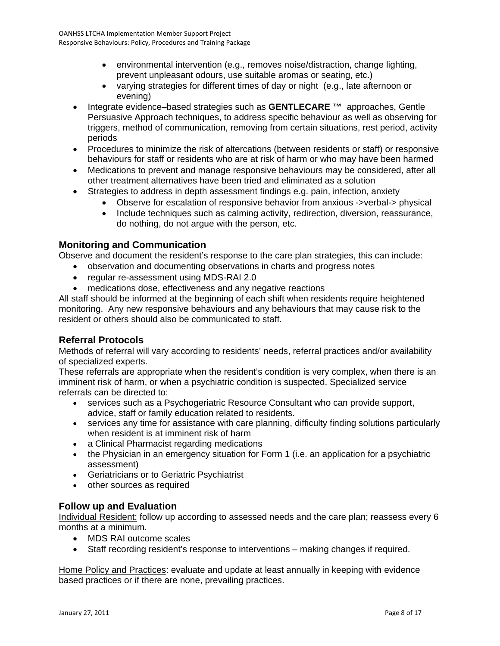- environmental intervention (e.g., removes noise/distraction, change lighting, prevent unpleasant odours, use suitable aromas or seating, etc.)
- varying strategies for different times of day or night (e.g., late afternoon or evening)
- Integrate evidence–based strategies such as **GENTLECARE ™** approaches, Gentle Persuasive Approach techniques, to address specific behaviour as well as observing for triggers, method of communication, removing from certain situations, rest period, activity periods
- Procedures to minimize the risk of altercations (between residents or staff) or responsive behaviours for staff or residents who are at risk of harm or who may have been harmed
- Medications to prevent and manage responsive behaviours may be considered, after all other treatment alternatives have been tried and eliminated as a solution
- Strategies to address in depth assessment findings e.g. pain, infection, anxiety
	- Observe for escalation of responsive behavior from anxious ->verbal-> physical
	- Include techniques such as calming activity, redirection, diversion, reassurance, do nothing, do not argue with the person, etc.

#### **Monitoring and Communication**

Observe and document the resident's response to the care plan strategies, this can include:

- observation and documenting observations in charts and progress notes
- regular re-assessment using MDS-RAI 2.0
- medications dose, effectiveness and any negative reactions

All staff should be informed at the beginning of each shift when residents require heightened monitoring. Any new responsive behaviours and any behaviours that may cause risk to the resident or others should also be communicated to staff.

#### **Referral Protocols**

Methods of referral will vary according to residents' needs, referral practices and/or availability of specialized experts.

These referrals are appropriate when the resident's condition is very complex, when there is an imminent risk of harm, or when a psychiatric condition is suspected. Specialized service referrals can be directed to:

- services such as a Psychogeriatric Resource Consultant who can provide support, advice, staff or family education related to residents.
- services any time for assistance with care planning, difficulty finding solutions particularly when resident is at imminent risk of harm
- a Clinical Pharmacist regarding medications
- the Physician in an emergency situation for Form 1 (i.e. an application for a psychiatric assessment)
- Geriatricians or to Geriatric Psychiatrist
- other sources as required

#### **Follow up and Evaluation**

Individual Resident: follow up according to assessed needs and the care plan; reassess every 6 months at a minimum.

- MDS RAI outcome scales
- Staff recording resident's response to interventions making changes if required.

Home Policy and Practices: evaluate and update at least annually in keeping with evidence based practices or if there are none, prevailing practices.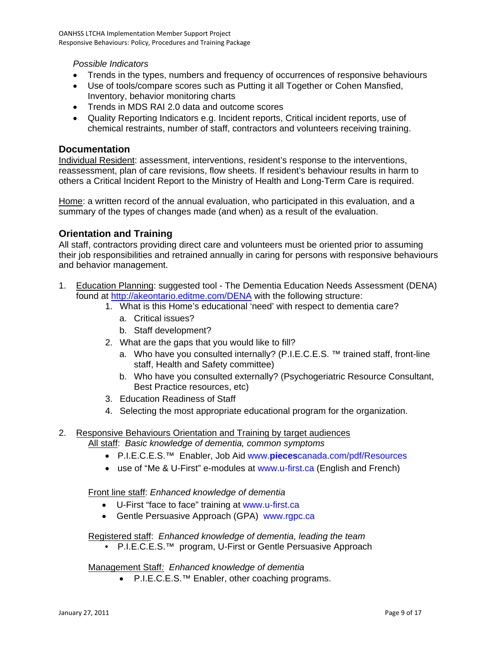*Possible Indicators* 

- Trends in the types, numbers and frequency of occurrences of responsive behaviours
- Use of tools/compare scores such as Putting it all Together or Cohen Mansfied, Inventory, behavior monitoring charts
- Trends in MDS RAI 2.0 data and outcome scores
- Quality Reporting Indicators e.g. Incident reports, Critical incident reports, use of chemical restraints, number of staff, contractors and volunteers receiving training.

#### **Documentation**

Individual Resident: assessment, interventions, resident's response to the interventions, reassessment, plan of care revisions, flow sheets. If resident's behaviour results in harm to others a Critical Incident Report to the Ministry of Health and Long-Term Care is required.

Home: a written record of the annual evaluation, who participated in this evaluation, and a summary of the types of changes made (and when) as a result of the evaluation.

#### **Orientation and Training**

All staff, contractors providing direct care and volunteers must be oriented prior to assuming their job responsibilities and retrained annually in caring for persons with responsive behaviours and behavior management.

- 1. Education Planning: suggested tool The Dementia Education Needs Assessment (DENA) found at<http://akeontario.editme.com/DENA> with the following structure:
	- 1. What is this Home's educational 'need' with respect to dementia care?
		- a. Critical issues?
		- b. Staff development?
	- 2. What are the gaps that you would like to fill?
		- a. Who have you consulted internally? (P.I.E.C.E.S. ™ trained staff, front-line staff, Health and Safety committee)
		- b. Who have you consulted externally? (Psychogeriatric Resource Consultant, Best Practice resources, etc)
	- 3. Education Readiness of Staff
	- 4. Selecting the most appropriate educational program for the organization.

#### 2. Responsive Behaviours Orientation and Training by target audiences

All staff: *Basic knowledge of dementia, common symptoms* 

- P.I.E.C.E.S.™ Enabler, Job Ai[d www.](http://www.piecescanada.com/pdf/Resources)**[pieces](http://www.piecescanada.com/pdf/Resources)**[canada.com/pdf/Resources](http://www.piecescanada.com/pdf/Resources)
- use of "Me & U-First" e-modules at [www.u-first.ca](http://www.u-first.ca/) (English and French)

#### Front line staff: *Enhanced knowledge of dementia*

- U-First "face to face" training at [www.u-first.ca](http://www.u-first.ca/)
- Gentle Persuasive Approach (GPA) www.rgpc.ca

Registered staff: *Enhanced knowledge of dementia, leading the team* 

• P.I.E.C.E.S.<sup>™</sup> program, U-First or Gentle Persuasive Approach

Management Staff*: Enhanced knowledge of dementia* 

• P.I.E.C.E.S.™ Enabler, other coaching programs.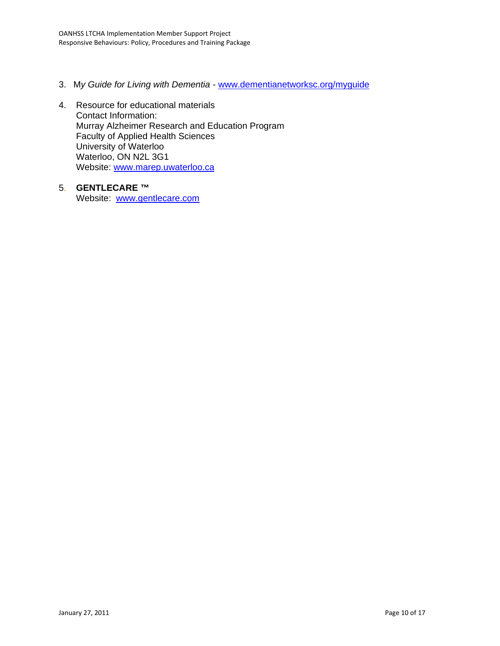- 3. M*y Guide for Living with Dementia -* [www.dementianetworksc.org/myguide](http://www.dementianetworksc.org/myguide)
- 4. Resource for educational materials Contact Information: Murray Alzheimer Research and Education Program Faculty of Applied Health Sciences University of Waterloo Waterloo, ON N2L 3G1 Website: [www.marep.uwaterloo.ca](http://www.marep.uwaterloo.ca/)
- 5. **GENTLECARE ™** Website: [www.gentlecare.com](http://www.gentlecare.com/)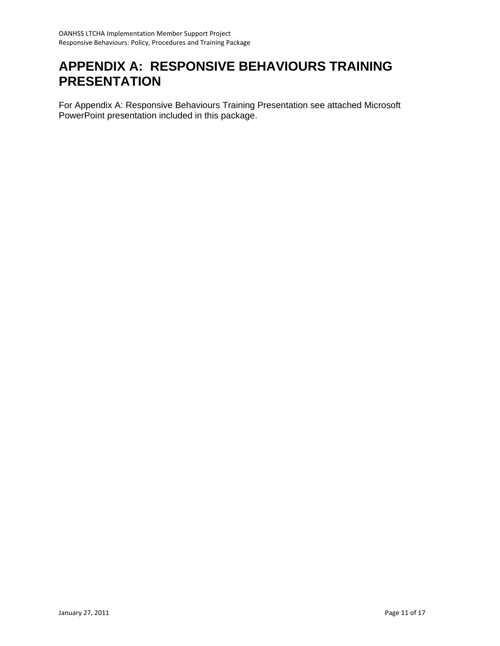# <span id="page-10-0"></span>**APPENDIX A: RESPONSIVE BEHAVIOURS TRAINING PRESENTATION**

For Appendix A: Responsive Behaviours Training Presentation see attached Microsoft PowerPoint presentation included in this package.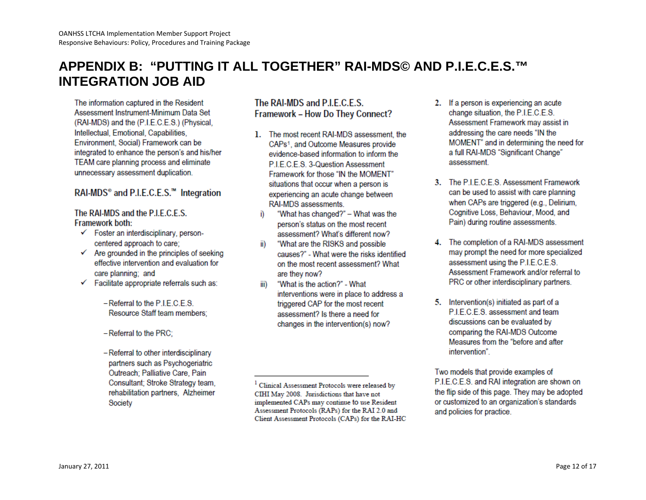# **APPENDIX B: "PUTTING IT ALL TOGETHER" RAI-MDS© AND P.I.E.C.E.S.™ INTEGRATION JOB AID**

The information captured in the Resident Assessment Instrument-Minimum Data Set (RAI-MDS) and the (P.I.E.C.E.S.) (Physical, Intellectual, Emotional, Capabilities, Environment, Social) Framework can be integrated to enhance the person's and his/her TEAM care planning process and eliminate unnecessary assessment duplication.

#### RAI-MDS<sup>®</sup> and P.I.E.C.E.S.<sup>™</sup> Integration

#### The RAI-MDS and the P.I.E.C.E.S. Framework both:

- $\checkmark$  Foster an interdisciplinary, personcentered approach to care;
- $\checkmark$  Are grounded in the principles of seeking effective intervention and evaluation for care planning; and
- $\checkmark$  Facilitate appropriate referrals such as:
	- Referral to the P.I.E.C.E.S. Resource Staff team members:
	- $-$  Referral to the PRC;
	- Referral to other interdisciplinary partners such as Psychogeriatric Outreach; Palliative Care, Pain Consultant; Stroke Strategy team, rehabilitation partners, Alzheimer Society

#### The RAI-MDS and P.L.E.C.E.S. Framework - How Do They Connect?

- 1. The most recent RAI-MDS assessment, the CAPs<sup>1</sup>, and Outcome Measures provide evidence-based information to inform the PIFCFS 3-Question Assessment Framework for those "IN the MOMENT" situations that occur when a person is experiencing an acute change between RAI-MDS assessments.
	- i) "What has changed?" - What was the person's status on the most recent assessment? What's different now?
	- ii) "What are the RISKS and possible causes?" - What were the risks identified on the most recent assessment? What are they now?
- "What is the action?" What iii) interventions were in place to address a triggered CAP for the most recent assessment? Is there a need for changes in the intervention(s) now?
- 2. If a person is experiencing an acute change situation, the P.I.E.C.E.S. Assessment Framework may assist in addressing the care needs "IN the MOMENT" and in determining the need for a full RAI-MDS "Significant Change" assessment.
- 3. The P.I.E.C.E.S. Assessment Framework can be used to assist with care planning when CAPs are triggered (e.g., Delirium, Cognitive Loss, Behaviour, Mood, and Pain) during routine assessments.
- 4. The completion of a RAI-MDS assessment may prompt the need for more specialized assessment using the P.I.E.C.E.S. Assessment Framework and/or referral to PRC or other interdisciplinary partners.
- 5. Intervention(s) initiated as part of a P.I.E.C.E.S. assessment and team discussions can be evaluated by comparing the RAI-MDS Outcome Measures from the "before and after intervention".

Two models that provide examples of P.I.E.C.E.S. and RAI integration are shown on the flip side of this page. They may be adopted or customized to an organization's standards and policies for practice.

<span id="page-11-0"></span><sup>&</sup>lt;sup>1</sup> Clinical Assessment Protocols were released by CIHI May 2008. Jurisdictions that have not implemented CAPs may continue to use Resident Assessment Protocols (RAPs) for the RAI 2.0 and Client Assessment Protocols (CAPs) for the RAI-HC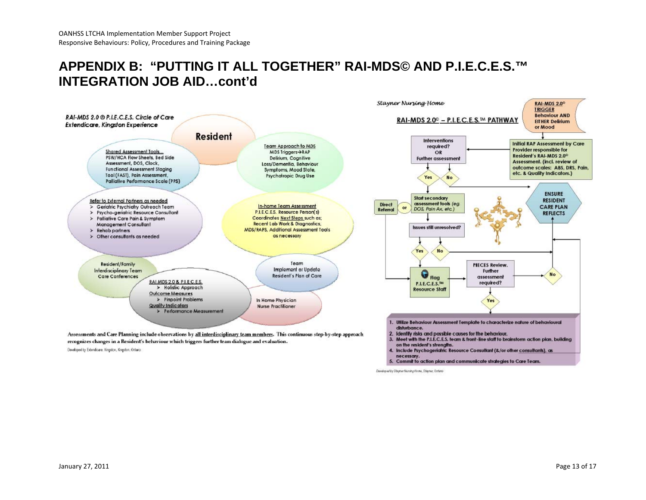### **APPENDIX B: "PUTTING IT ALL TOGETHER" RAI-MDS© AND P.I.E.C.E.S.™ INTEGRATION JOB AID…cont'd**



Developed by Stayner Nursing Home, Stayner, Ordeno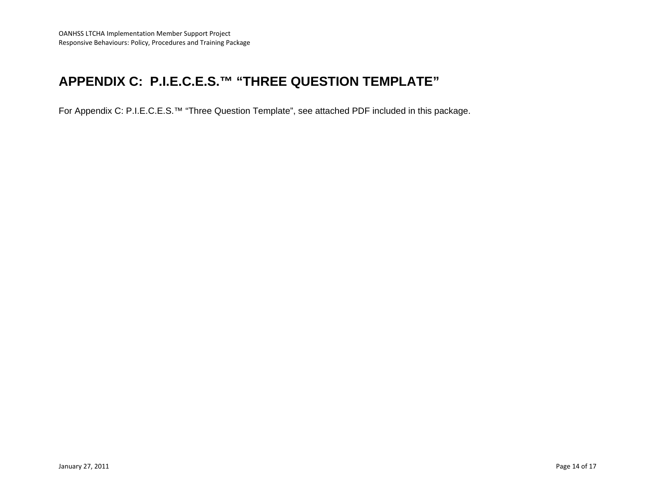# **APPENDIX C: P.I.E.C.E.S.™ "THREE QUESTION TEMPLATE"**

<span id="page-13-0"></span>For Appendix C: P.I.E.C.E.S.™ "Three Question Template", see attached PDF included in this package.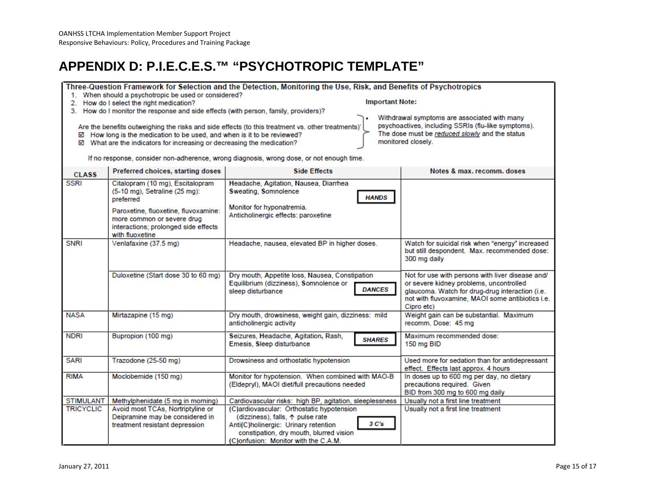# **APPENDIX D: P.I.E.C.E.S.™ "PSYCHOTROPIC TEMPLATE"**

Three-Question Framework for Selection and the Detection, Monitoring the Use, Risk, and Benefits of Psychotropics 1. When should a psychotropic be used or considered? **Important Note:** 2. How do I select the right medication?

3. How do I monitor the response and side effects (with person, family, providers)?

Are the benefits outweighing the risks and side effects (to this treatment vs. other treatments)' ☑ How long is the medication to be used, and when is it to be reviewed?

☑ What are the indicators for increasing or decreasing the medication?

Withdrawal symptoms are associated with many psychoactives, including SSRIs (flu-like symptoms). The dose must be reduced slowly and the status monitored closely.

If no response, consider non-adherence, wrong diagnosis, wrong dose, or not enough time.

<span id="page-14-0"></span>

| <b>CLASS</b>     | Preferred choices, starting doses                                                                                                                                                                               | <b>Side Effects</b>                                                                                                                                                                                               | Notes & max. recomm. doses                                                                                                                                                                                       |
|------------------|-----------------------------------------------------------------------------------------------------------------------------------------------------------------------------------------------------------------|-------------------------------------------------------------------------------------------------------------------------------------------------------------------------------------------------------------------|------------------------------------------------------------------------------------------------------------------------------------------------------------------------------------------------------------------|
| <b>SSRI</b>      | Citalopram (10 mg), Escitalopram<br>(5-10 mg), Setraline (25 mg):<br>preferred<br>Paroxetine, fluoxetine, fluvoxamine:<br>more common or severe drug<br>interactions; prolonged side effects<br>with fluoxetine | Headache, Agitation, Nausea, Diarrhea<br>Sweating, Somnolence<br><b>HANDS</b><br>Monitor for hyponatremia.<br>Anticholinergic effects: paroxetine                                                                 |                                                                                                                                                                                                                  |
| <b>SNRI</b>      | Venlafaxine (37.5 mg)                                                                                                                                                                                           | Headache, nausea, elevated BP in higher doses.                                                                                                                                                                    | Watch for suicidal risk when "energy" increased<br>but still despondent. Max. recommended dose:<br>300 mg daily                                                                                                  |
|                  | Duloxetine (Start dose 30 to 60 mg)                                                                                                                                                                             | Dry mouth, Appetite loss, Nausea, Constipation<br>Equilibrium (dizziness), Somnolence or<br><b>DANCES</b><br>sleep disturbance                                                                                    | Not for use with persons with liver disease and/<br>or severe kidney problems, uncontrolled<br>glaucoma. Watch for drug-drug interaction (i.e.<br>not with fluvoxamine. MAOI some antibiotics i.e.<br>Cipro etc) |
| <b>NASA</b>      | Mirtazapine (15 mg)                                                                                                                                                                                             | Dry mouth, drowsiness, weight gain, dizziness: mild<br>anticholinergic activity                                                                                                                                   | Weight gain can be substantial. Maximum<br>recomm. Dose: 45 mg                                                                                                                                                   |
| <b>NDRI</b>      | Bupropion (100 mg)                                                                                                                                                                                              | Seizures, Headache, Agitation, Rash,<br><b>SHARES</b><br>Emesis, Sleep disturbance                                                                                                                                | Maximum recommended dose:<br>150 mg BID                                                                                                                                                                          |
| <b>SARI</b>      | Trazodone (25-50 mg)                                                                                                                                                                                            | Drowsiness and orthostatic hypotension                                                                                                                                                                            | Used more for sedation than for antidepressant<br>effect. Effects last approx. 4 hours                                                                                                                           |
| <b>RIMA</b>      | Moclobemide (150 mg)                                                                                                                                                                                            | Monitor for hypotension. When combined with MAO-B<br>(Eldepryl), MAOI diet/full precautions needed                                                                                                                | In doses up to 600 mg per day, no dietary<br>precautions required. Given<br>BID from 300 mg to 600 mg daily                                                                                                      |
| <b>STIMULANT</b> | Methylphenidate (5 mg in morning)                                                                                                                                                                               | Cardiovascular risks: high BP, agitation, sleeplessness                                                                                                                                                           | Usually not a first line treatment                                                                                                                                                                               |
| <b>TRICYCLIC</b> | Avoid most TCAs, Nortriptyline or<br>Deipramine may be considered in<br>treatment resistant depression                                                                                                          | (C)ardiovascular: Orthostatic hypotension<br>(dizziness), falls, ↑ pulse rate<br>3 C's<br>Anti(C)holinergic: Urinary retention<br>constipation, dry mouth, blurred vision<br>(C)onfusion: Monitor with the C.A.M. | Usually not a first line treatment                                                                                                                                                                               |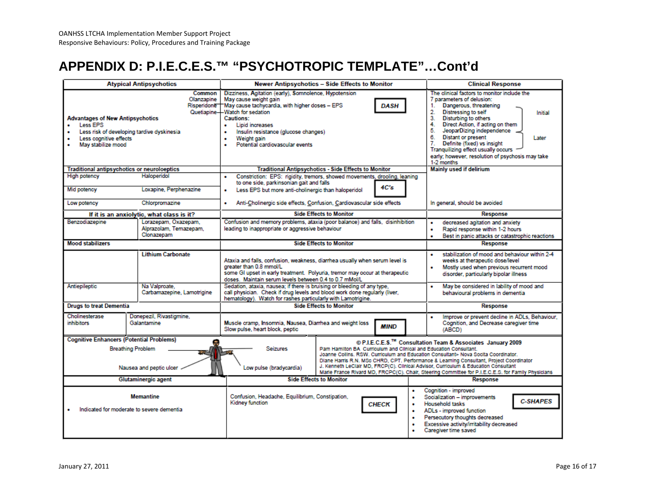# **APPENDIX D: P.I.E.C.E.S.™ "PSYCHOTROPIC TEMPLATE"…Cont'd**

| <b>Atypical Antipsychotics</b>                                                                                                                    |                                                         | Newer Antipsychotics - Side Effects to Monitor                                                                                                                                                                                                                                                                                                |                                                                                                                                                                                                                                                | <b>Clinical Response</b>                                                                                                   |                                                                                                                                                                                                                                                                                                                                                                                                                                                              |
|---------------------------------------------------------------------------------------------------------------------------------------------------|---------------------------------------------------------|-----------------------------------------------------------------------------------------------------------------------------------------------------------------------------------------------------------------------------------------------------------------------------------------------------------------------------------------------|------------------------------------------------------------------------------------------------------------------------------------------------------------------------------------------------------------------------------------------------|----------------------------------------------------------------------------------------------------------------------------|--------------------------------------------------------------------------------------------------------------------------------------------------------------------------------------------------------------------------------------------------------------------------------------------------------------------------------------------------------------------------------------------------------------------------------------------------------------|
| <b>Advantages of New Antipsychotics</b><br>Less EPS<br>Less risk of developing tardive dyskinesia<br>Less cognitive effects<br>May stabilize mood | Common<br>Olanzapine<br>Risperidone                     | Dizziness, Agitation (early), Somnolence, Hypotension<br>May cause weight gain<br>May cause tachycardia, with higher doses - EPS<br><b>DASH</b><br>Quetiapine-Watch for sedation<br><b>Cautions:</b><br>Lipid increases<br>٠<br>Insulin resistance (glucose changes)<br>٠<br>Weight gain<br>٠<br>Potential cardiovascular events<br>$\bullet$ |                                                                                                                                                                                                                                                |                                                                                                                            | The clinical factors to monitor include the<br>7 parameters of delusion:<br>Dangerous, threatening<br>1.<br>2.<br>Distressing to self<br><b>Initial</b><br>3.<br>Disturbing to others<br>4.<br>Direct Action, if acting on them<br>5.<br>JeoparDizing independence<br>6.<br><b>Distant or present</b><br>Later<br>Definite (fixed) vs insight<br>7.<br>Tranquilizing effect usually occurs<br>early; however, resolution of psychosis may take<br>1-2 months |
| Traditional antipsychotics or neuroloeptics                                                                                                       |                                                         | <b>Traditional Antipsychotics - Side Effects to Monitor</b>                                                                                                                                                                                                                                                                                   |                                                                                                                                                                                                                                                | <b>Mainly used if delirium</b>                                                                                             |                                                                                                                                                                                                                                                                                                                                                                                                                                                              |
| High potency<br>Mid potency<br>Low potency                                                                                                        | Haloperidol<br>Loxapine, Perphenazine<br>Chlorpromazine | Constriction: EPS: rigidity, tremors, showed movements, drooling, leaning<br>٠<br>to one side, parkinsonian gait and falls<br>4C's<br>Less EPS but more anti-cholinergic than haloperidol<br>٠<br>Anti-Cholinergic side effects, Confusion, Cardiovascular side effects<br>٠                                                                  |                                                                                                                                                                                                                                                |                                                                                                                            | In general, should be avoided                                                                                                                                                                                                                                                                                                                                                                                                                                |
| If it is an anxiolytic, what class is it?                                                                                                         |                                                         | <b>Side Effects to Monitor</b>                                                                                                                                                                                                                                                                                                                |                                                                                                                                                                                                                                                | <b>Response</b>                                                                                                            |                                                                                                                                                                                                                                                                                                                                                                                                                                                              |
| Lorazepam, Oxazepam,<br>Benzodiazepine<br>Alprazolam, Temazepam,<br>Clonazepam                                                                    |                                                         | Confusion and memory problems, ataxia (poor balance) and falls, disinhibition<br>leading to inappropriate or aggressive behaviour                                                                                                                                                                                                             |                                                                                                                                                                                                                                                | decreased agitation and anxiety<br>Rapid response within 1-2 hours<br>٠<br>Best in panic attacks or catastrophic reactions |                                                                                                                                                                                                                                                                                                                                                                                                                                                              |
| Mood stabilizers                                                                                                                                  |                                                         | <b>Side Effects to Monitor</b>                                                                                                                                                                                                                                                                                                                |                                                                                                                                                                                                                                                | <b>Response</b>                                                                                                            |                                                                                                                                                                                                                                                                                                                                                                                                                                                              |
| <b>Lithium Carbonate</b><br>Antiepileptic<br>Na Valproate.                                                                                        |                                                         | Ataxia and falls, confusion, weakness, diarrhea usually when serum level is<br>greater than 0.8 mmol/L<br>some GI upset in early treatment. Polyuria, tremor may occur at therapeutic<br>doses. Maintain serum levels between 0.4 to 0.7 mMol/L<br>Sedation, ataxia, nausea; if there is bruising or bleeding of any type,                    |                                                                                                                                                                                                                                                |                                                                                                                            | stabilization of mood and behaviour within 2-4<br>٠<br>weeks at therapeutic dose/level<br>Mostly used when previous recurrent mood<br>disorder, particularly bipolar illness<br>May be considered in lability of mood and<br>٠                                                                                                                                                                                                                               |
| Carbamazepine, Lamotrigine                                                                                                                        |                                                         | call physician. Check if drug levels and blood work done regularly (liver,<br>hematology). Watch for rashes particularly with Lamotrigine.                                                                                                                                                                                                    |                                                                                                                                                                                                                                                |                                                                                                                            | behavioural problems in dementia                                                                                                                                                                                                                                                                                                                                                                                                                             |
| <b>Drugs to treat Dementia</b>                                                                                                                    |                                                         | <b>Side Effects to Monitor</b>                                                                                                                                                                                                                                                                                                                |                                                                                                                                                                                                                                                | Response                                                                                                                   |                                                                                                                                                                                                                                                                                                                                                                                                                                                              |
| Cholinesterase<br><i>inhibitors</i>                                                                                                               | Donepezil, Rivastigmine,<br>Galantamine                 | Muscle cramp, Insomnia, Nausea, Diarrhea and weight loss<br>Slow pulse, heart block, peptic                                                                                                                                                                                                                                                   |                                                                                                                                                                                                                                                | MIND                                                                                                                       | Improve or prevent decline in ADLs, Behaviour,<br>Cognition, and Decrease caregiver time<br>(ABCD)                                                                                                                                                                                                                                                                                                                                                           |
| <b>Cognitive Enhancers (Potential Problems)</b><br><b>Breathing Problem</b><br>Nausea and peptic ulcer                                            |                                                         | Seizures<br>Low pulse (bradycardia)                                                                                                                                                                                                                                                                                                           | Pam Hamilton BA Curriculum and Clinical and Education Consultant.<br>Joanne Collins, RSW, Curriculum and Education Consultant> Nova Socita Coordinator,<br>J. Kenneth LeClair MD, FRCP(C). Clinical Advisor, Curriculum & Education Consultant |                                                                                                                            | © P.I.E.C.E.S.™ Consultation Team & Associates January 2009<br>Diane Harris R.N. MSc CHRD, CPT. Performance & Learning Consultant, Project Coordinator<br>Marie France Rivard MD, FRCPC(C). Chair, Steering Committee for P.I.E.C.E.S. for Family Physicians                                                                                                                                                                                                 |
| Glutaminergic agent                                                                                                                               |                                                         | <b>Side Effects to Monitor</b>                                                                                                                                                                                                                                                                                                                |                                                                                                                                                                                                                                                | <b>Response</b>                                                                                                            |                                                                                                                                                                                                                                                                                                                                                                                                                                                              |
| <b>Memantine</b><br>Indicated for moderate to severe demential                                                                                    |                                                         | Confusion, Headache, Equilibrium, Constipation,<br>Kidney function                                                                                                                                                                                                                                                                            |                                                                                                                                                                                                                                                | ٠<br><b>CHECK</b><br>٠<br>٠<br>٠<br>٠<br>٠                                                                                 | Cognition - improved<br>Socialization - improvements<br><b>C-SHAPES</b><br>Household tasks<br>ADLs - improved function<br>Persecutory thoughts decreased<br>Excessive activity/irritability decreased<br>Caregiver time saved                                                                                                                                                                                                                                |